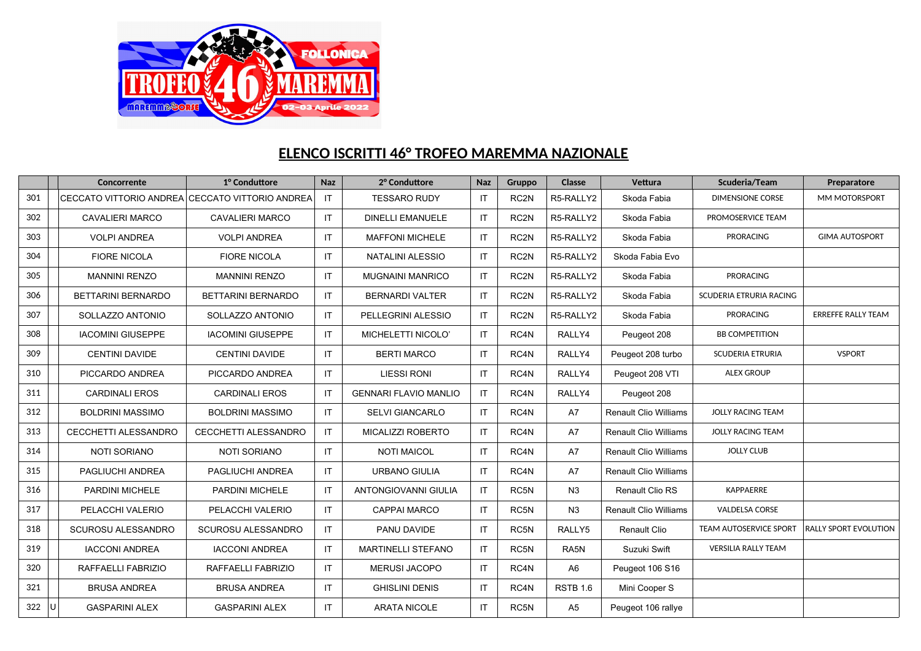

## **ELENCO ISCRITTI 46° TROFEO MAREMMA NAZIONALE**

|     | Concorrente                                     | 1º Conduttore            | <b>Naz</b> | 2° Conduttore                | <b>Naz</b> | Gruppo            | Classe          | Vettura                      | Scuderia/Team                 | Preparatore                  |
|-----|-------------------------------------------------|--------------------------|------------|------------------------------|------------|-------------------|-----------------|------------------------------|-------------------------------|------------------------------|
| 301 | CECCATO VITTORIO ANDREA CECCATO VITTORIO ANDREA |                          | IT         | <b>TESSARO RUDY</b>          | <b>IT</b>  | RC <sub>2N</sub>  | R5-RALLY2       | Skoda Fabia                  | <b>DIMENSIONE CORSE</b>       | MM MOTORSPORT                |
| 302 | <b>CAVALIERI MARCO</b>                          | <b>CAVALIERI MARCO</b>   | IT.        | <b>DINELLI EMANUELE</b>      | <b>IT</b>  | RC <sub>2N</sub>  | R5-RALLY2       | Skoda Fabia                  | PROMOSERVICE TEAM             |                              |
| 303 | <b>VOLPI ANDREA</b>                             | <b>VOLPI ANDREA</b>      | IT.        | <b>MAFFONI MICHELE</b>       | IT         | RC2N              | R5-RALLY2       | Skoda Fabia                  | <b>PRORACING</b>              | <b>GIMA AUTOSPORT</b>        |
| 304 | <b>FIORE NICOLA</b>                             | <b>FIORE NICOLA</b>      | IT.        | <b>NATALINI ALESSIO</b>      | IT         | RC <sub>2N</sub>  | R5-RALLY2       | Skoda Fabia Evo              |                               |                              |
| 305 | <b>MANNINI RENZO</b>                            | <b>MANNINI RENZO</b>     | IT.        | <b>MUGNAINI MANRICO</b>      | IT         | RC2N              | R5-RALLY2       | Skoda Fabia                  | <b>PRORACING</b>              |                              |
| 306 | BETTARINI BERNARDO                              | BETTARINI BERNARDO       | IT.        | <b>BERNARDI VALTER</b>       | IT         | RC2N              | R5-RALLY2       | Skoda Fabia                  | SCUDERIA ETRURIA RACING       |                              |
| 307 | SOLLAZZO ANTONIO                                | SOLLAZZO ANTONIO         | IT.        | PELLEGRINI ALESSIO           | <b>IT</b>  | RC <sub>2N</sub>  | R5-RALLY2       | Skoda Fabia                  | <b>PRORACING</b>              | <b>ERREFFE RALLY TEAM</b>    |
| 308 | <b>IACOMINI GIUSEPPE</b>                        | <b>IACOMINI GIUSEPPE</b> | IT         | MICHELETTI NICOLO'           | IT         | RC4N              | RALLY4          | Peugeot 208                  | <b>BB COMPETITION</b>         |                              |
| 309 | <b>CENTINI DAVIDE</b>                           | <b>CENTINI DAVIDE</b>    | IT.        | <b>BERTI MARCO</b>           | IT         | RC4N              | RALLY4          | Peugeot 208 turbo            | <b>SCUDERIA ETRURIA</b>       | <b>VSPORT</b>                |
| 310 | PICCARDO ANDREA                                 | PICCARDO ANDREA          | IT.        | <b>LIESSI RONI</b>           | IT.        | RC4N              | RALLY4          | Peugeot 208 VTI              | <b>ALEX GROUP</b>             |                              |
| 311 | <b>CARDINALI EROS</b>                           | <b>CARDINALI EROS</b>    | IT         | <b>GENNARI FLAVIO MANLIO</b> | IT.        | RC <sub>4</sub> N | RALLY4          | Peugeot 208                  |                               |                              |
| 312 | <b>BOLDRINI MASSIMO</b>                         | <b>BOLDRINI MASSIMO</b>  | IT.        | <b>SELVI GIANCARLO</b>       | IT.        | RC4N              | <b>A7</b>       | <b>Renault Clio Williams</b> | <b>JOLLY RACING TEAM</b>      |                              |
| 313 | <b>CECCHETTI ALESSANDRO</b>                     | CECCHETTI ALESSANDRO     | IT.        | MICALIZZI ROBERTO            | IT         | RC4N              | <b>A7</b>       | <b>Renault Clio Williams</b> | <b>JOLLY RACING TEAM</b>      |                              |
| 314 | <b>NOTI SORIANO</b>                             | <b>NOTI SORIANO</b>      | IT         | <b>NOTI MAICOL</b>           | IT.        | RC4N              | A7              | <b>Renault Clio Williams</b> | <b>JOLLY CLUB</b>             |                              |
| 315 | PAGLIUCHI ANDREA                                | PAGLIUCHI ANDREA         | IT.        | <b>URBANO GIULIA</b>         | IT.        | RC4N              | A7              | <b>Renault Clio Williams</b> |                               |                              |
| 316 | PARDINI MICHELE                                 | PARDINI MICHELE          | IT         | ANTONGIOVANNI GIULIA         | IT.        | RC5N              | N <sub>3</sub>  | Renault Clio RS              | KAPPAERRE                     |                              |
| 317 | PELACCHI VALERIO                                | PELACCHI VALERIO         | IT.        | <b>CAPPAI MARCO</b>          | IT         | RC5N              | N <sub>3</sub>  | <b>Renault Clio Williams</b> | <b>VALDELSA CORSE</b>         |                              |
| 318 | SCUROSU ALESSANDRO                              | SCUROSU ALESSANDRO       | IT.        | PANU DAVIDE                  | IT         | RC5N              | RALLY5          | Renault Clio                 | <b>TEAM AUTOSERVICE SPORT</b> | <b>RALLY SPORT EVOLUTION</b> |
| 319 | <b>IACCONI ANDREA</b>                           | <b>IACCONI ANDREA</b>    | IT.        | <b>MARTINELLI STEFANO</b>    | IT         | RC5N              | RA5N            | Suzuki Swift                 | <b>VERSILIA RALLY TEAM</b>    |                              |
| 320 | RAFFAELLI FABRIZIO                              | RAFFAELLI FABRIZIO       | IT.        | <b>MERUSI JACOPO</b>         | IT.        | RC4N              | A <sub>6</sub>  | Peugeot 106 S16              |                               |                              |
| 321 | <b>BRUSA ANDREA</b>                             | <b>BRUSA ANDREA</b>      | IT.        | <b>GHISLINI DENIS</b>        | IT         | RC4N              | <b>RSTB 1.6</b> | Mini Cooper S                |                               |                              |
| 322 | <b>GASPARINI ALEX</b>                           | <b>GASPARINI ALEX</b>    | IT.        | <b>ARATA NICOLE</b>          | IT.        | RC5N              | A <sub>5</sub>  | Peugeot 106 rallye           |                               |                              |